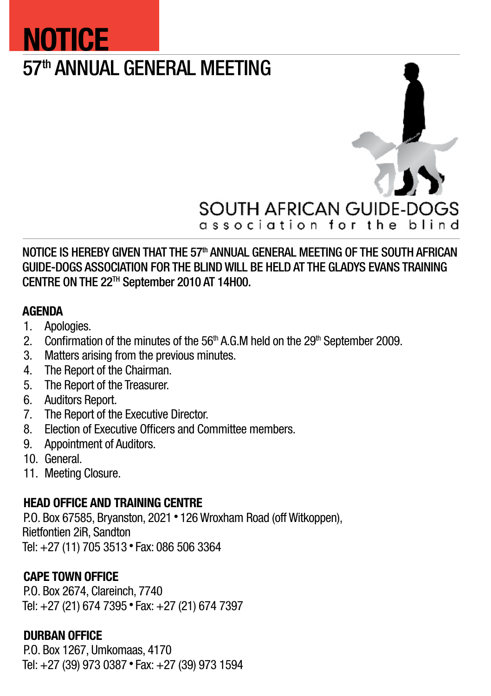# **NOTICE** 57th ANNUAL GENERAL MEETING

# **SOUTH AFRICAN GUIDE-DOGS** association for the

## NOTICE IS HEREBY GIVEN THAT THE 57th ANNUAL GENERAL MEETING OF THE SOUTH AFRICAN GUIDE-DOGS ASSOCIATION FOR THE BLIND WILL BE HELD AT THE GLADYS EVANS TRAINING CENTRE ON THE 22TH September 2010 AT 14H00.

## **AGENDA**

- 1. Apologies.
- 2. Confirmation of the minutes of the  $56<sup>th</sup>$  A.G.M held on the  $29<sup>th</sup>$  September 2009.
- 3. Matters arising from the previous minutes.
- 4. The Report of the Chairman.
- 5. The Report of the Treasurer.
- 6. Auditors Report.
- 7. The Report of the Executive Director.
- 8. Election of Executive Officers and Committee members.
- 9. Appointment of Auditors.
- 10. General.
- 11. Meeting Closure.

## HEAD OFFICE AND TRAINING CENTRE

P.O. Box 67585, Bryanston, 2021 • 126 Wroxham Road (off Witkoppen), Rietfontien 2iR, Sandton Tel: +27 (11) 705 3513 • Fax: 086 506 3364

## CAPE TOWN OFFICE

P.O. Box 2674, Clareinch, 7740 Tel: +27 (21) 674 7395 • Fax: +27 (21) 674 7397

## DURBAN OFFICE

P.O. Box 1267, Umkomaas, 4170 Tel: +27 (39) 973 0387 • Fax: +27 (39) 973 1594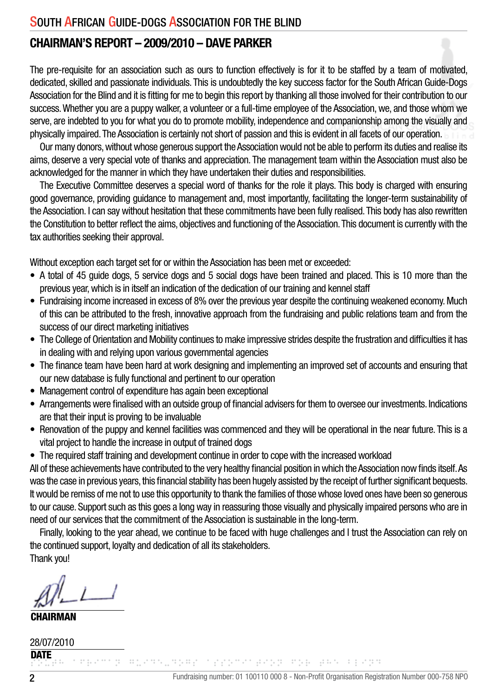## Chairman's Report – 2009/2010 – Dave Parker

The pre-requisite for an association such as ours to function effectively is for it to be staffed by a team of motivated, dedicated, skilled and passionate individuals. This is undoubtedly the key success factor for the South African Guide-Dogs Association for the Blind and it is fitting for me to begin this report by thanking all those involved for their contribution to our success. Whether you are a puppy walker, a volunteer or a full-time employee of the Association, we, and those whom we serve, are indebted to you for what you do to promote mobility, independence and companionship among the visually and physically impaired. The Association is certainly not short of passion and this is evident in all facets of our operation.

Our many donors, without whose generous support the Association would not be able to perform its duties and realise its aims, deserve a very special vote of thanks and appreciation. The management team within the Association must also be acknowledged for the manner in which they have undertaken their duties and responsibilities.

The Executive Committee deserves a special word of thanks for the role it plays. This body is charged with ensuring good governance, providing guidance to management and, most importantly, facilitating the longer-term sustainability of the Association. I can say without hesitation that these commitments have been fully realised. This body has also rewritten the Constitution to better reflect the aims, objectives and functioning of the Association. This document is currently with the tax authorities seeking their approval.

Without exception each target set for or within the Association has been met or exceeded:

- A total of 45 guide dogs, 5 service dogs and 5 social dogs have been trained and placed. This is 10 more than the previous year, which is in itself an indication of the dedication of our training and kennel staff
- Fundraising income increased in excess of 8% over the previous year despite the continuing weakened economy. Much of this can be attributed to the fresh, innovative approach from the fundraising and public relations team and from the success of our direct marketing initiatives
- The College of Orientation and Mobility continues to make impressive strides despite the frustration and difficulties it has in dealing with and relying upon various governmental agencies
- The finance team have been hard at work designing and implementing an improved set of accounts and ensuring that our new database is fully functional and pertinent to our operation
- Management control of expenditure has again been exceptional
- Arrangements were finalised with an outside group of financial advisers for them to oversee our investments. Indications are that their input is proving to be invaluable
- Renovation of the puppy and kennel facilities was commenced and they will be operational in the near future. This is a vital project to handle the increase in output of trained dogs
- The required staff training and development continue in order to cope with the increased workload

All of these achievements have contributed to the very healthy financial position in which the Association now finds itself. As was the case in previous years, this financial stability has been hugely assisted by the receipt of further significant bequests. It would be remiss of me not to use this opportunity to thank the families of those whose loved ones have been so generous to our cause. Support such as this goes a long way in reassuring those visually and physically impaired persons who are in need of our services that the commitment of the Association is sustainable in the long-term.

Finally, looking to the year ahead, we continue to be faced with huge challenges and I trust the Association can rely on the continued support, loyalty and dedication of all its stakeholders. Thank you!

**CHAIRMAN** 

28/07/2010

**DATE**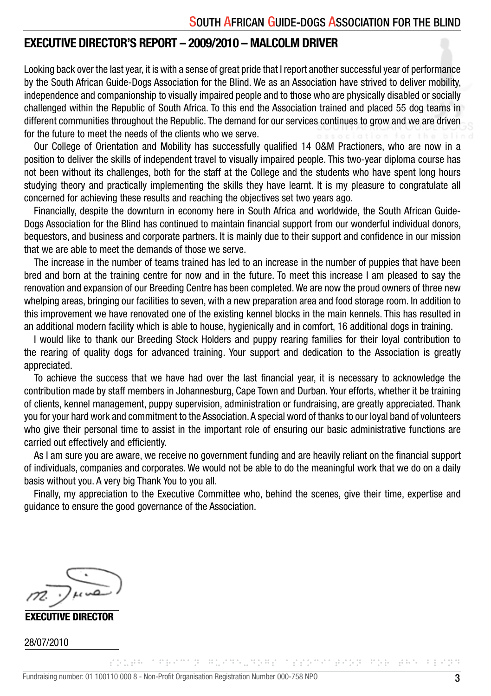## Executive Director's Report – 2009/2010 – Malcolm Driver

Looking back over the last year, it is with a sense of great pride that I report another successful year of performance by the South African Guide-Dogs Association for the Blind. We as an Association have strived to deliver mobility, independence and companionship to visually impaired people and to those who are physically disabled or socially challenged within the Republic of South Africa. To this end the Association trained and placed 55 dog teams in different communities throughout the Republic. The demand for our services continues to grow and we are driven for the future to meet the needs of the clients who we serve.

Our College of Orientation and Mobility has successfully qualified 14 O&M Practioners, who are now in a position to deliver the skills of independent travel to visually impaired people. This two-year diploma course has not been without its challenges, both for the staff at the College and the students who have spent long hours studying theory and practically implementing the skills they have learnt. It is my pleasure to congratulate all concerned for achieving these results and reaching the objectives set two years ago.

Financially, despite the downturn in economy here in South Africa and worldwide, the South African Guide-Dogs Association for the Blind has continued to maintain financial support from our wonderful individual donors, bequestors, and business and corporate partners. It is mainly due to their support and confidence in our mission that we are able to meet the demands of those we serve.

The increase in the number of teams trained has led to an increase in the number of puppies that have been bred and born at the training centre for now and in the future. To meet this increase I am pleased to say the renovation and expansion of our Breeding Centre has been completed. We are now the proud owners of three new whelping areas, bringing our facilities to seven, with a new preparation area and food storage room. In addition to this improvement we have renovated one of the existing kennel blocks in the main kennels. This has resulted in an additional modern facility which is able to house, hygienically and in comfort, 16 additional dogs in training.

I would like to thank our Breeding Stock Holders and puppy rearing families for their loyal contribution to the rearing of quality dogs for advanced training. Your support and dedication to the Association is greatly appreciated

To achieve the success that we have had over the last financial year, it is necessary to acknowledge the contribution made by staff members in Johannesburg, Cape Town and Durban. Your efforts, whether it be training of clients, kennel management, puppy supervision, administration or fundraising, are greatly appreciated. Thank you for your hard work and commitment to the Association. A special word of thanks to our loyal band of volunteers who give their personal time to assist in the important role of ensuring our basic administrative functions are carried out effectively and efficiently.

As I am sure you are aware, we receive no government funding and are heavily reliant on the financial support of individuals, companies and corporates. We would not be able to do the meaningful work that we do on a daily basis without you. A very big Thank You to you all.

Finally, my appreciation to the Executive Committee who, behind the scenes, give their time, expertise and guidance to ensure the good governance of the Association.

SOUTH AFRICAN GUIDE-DOGS ASSOCIATION FOR THE BLIND

executive DIRECTOR

28/07/2010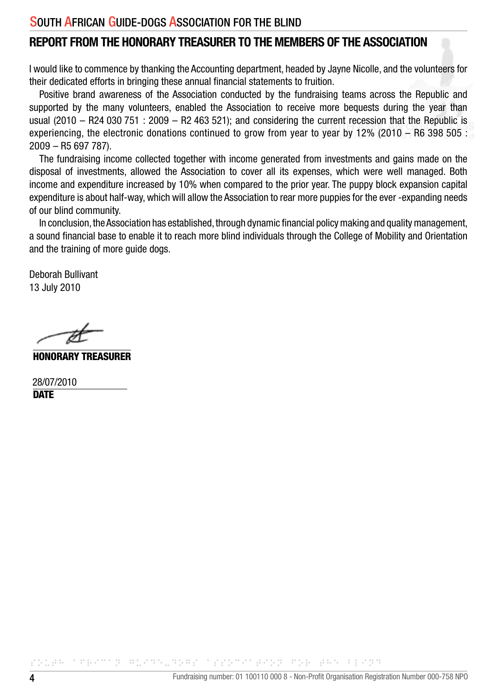## Report from the Honorary Treasurer to the members of the Association

I would like to commence by thanking the Accounting department, headed by Jayne Nicolle, and the volunteers for their dedicated efforts in bringing these annual financial statements to fruition.

Positive brand awareness of the Association conducted by the fundraising teams across the Republic and supported by the many volunteers, enabled the Association to receive more bequests during the year than usual (2010 – R24 030 751 : 2009 – R2 463 521); and considering the current recession that the Republic is experiencing, the electronic donations continued to grow from year to year by 12% (2010 – R6 398 505 : 2009 – R5 697 787).

The fundraising income collected together with income generated from investments and gains made on the disposal of investments, allowed the Association to cover all its expenses, which were well managed. Both income and expenditure increased by 10% when compared to the prior year. The puppy block expansion capital expenditure is about half-way, which will allow the Association to rear more puppies for the ever -expanding needs of our blind community.

In conclusion, the Association has established, through dynamic financial policy making and quality management, a sound financial base to enable it to reach more blind individuals through the College of Mobility and Orientation and the training of more guide dogs.

Deborah Bullivant 13 July 2010

Honorary TREASURER

**DATE** 28/07/2010

<mark>SPOUR AFRICAN GUIDE-DO</mark>CS ASSOCIATION FOR THE BLIND FOR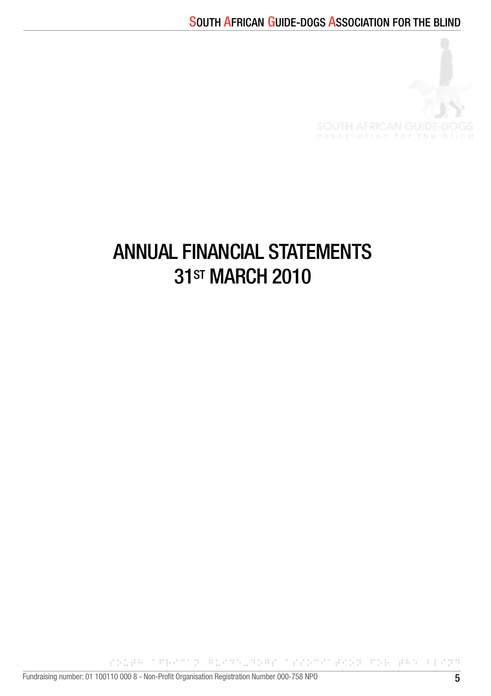

## Annual financial statements 31st MARCH 2010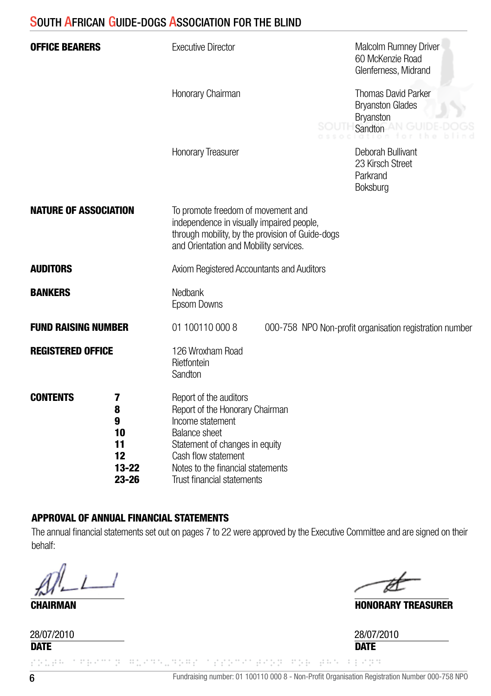| <b>OFFICE BEARERS</b>        |                                                     | <b>Executive Director</b>                                                                                                                                                                                                  | Malcolm Rumney Driver<br>60 McKenzie Road<br>Glenferness, Midrand             |
|------------------------------|-----------------------------------------------------|----------------------------------------------------------------------------------------------------------------------------------------------------------------------------------------------------------------------------|-------------------------------------------------------------------------------|
|                              |                                                     | Honorary Chairman                                                                                                                                                                                                          | <b>Thomas David Parker</b><br><b>Bryanston Glades</b><br>Bryanston<br>Sandton |
|                              |                                                     | <b>Honorary Treasurer</b>                                                                                                                                                                                                  | Deborah Bullivant<br>23 Kirsch Street<br>Parkrand<br>Boksburg                 |
| <b>NATURE OF ASSOCIATION</b> |                                                     | To promote freedom of movement and<br>independence in visually impaired people,<br>through mobility, by the provision of Guide-dogs<br>and Orientation and Mobility services.                                              |                                                                               |
| <b>AUDITORS</b>              |                                                     | Axiom Registered Accountants and Auditors                                                                                                                                                                                  |                                                                               |
| <b>BANKERS</b>               |                                                     | Nedbank<br>Epsom Downs                                                                                                                                                                                                     |                                                                               |
| <b>FUND RAISING NUMBER</b>   |                                                     | 01 100110 000 8                                                                                                                                                                                                            | 000-758 NPO Non-profit organisation registration number                       |
| <b>REGISTERED OFFICE</b>     |                                                     | 126 Wroxham Road<br>Rietfontein<br>Sandton                                                                                                                                                                                 |                                                                               |
| <b>CONTENTS</b>              | 7<br>8<br>9<br>10<br>11<br>12<br>$13 - 22$<br>23-26 | Report of the auditors<br>Report of the Honorary Chairman<br>Income statement<br>Balance sheet<br>Statement of changes in equity<br>Cash flow statement<br>Notes to the financial statements<br>Trust financial statements |                                                                               |

#### APPROVAL OF ANNUAL FINANCIAL STATEMENTS

The annual financial statements set out on pages 7 to 22 were approved by the Executive Committee and are signed on their behalf:

**DATE** DATE 28/07/2010

**CHAIRMAN HONORARY TREASURER** 

| 28/07/2010 |  |
|------------|--|
| DATE       |  |

SOUTH AFRICAN GUIDE-DOGS ASSOCIATION FOR THE BLIND

6 Fundraising number: 01 100110 000 8 - Non-Profit Organisation Registration Number 000-758 NPO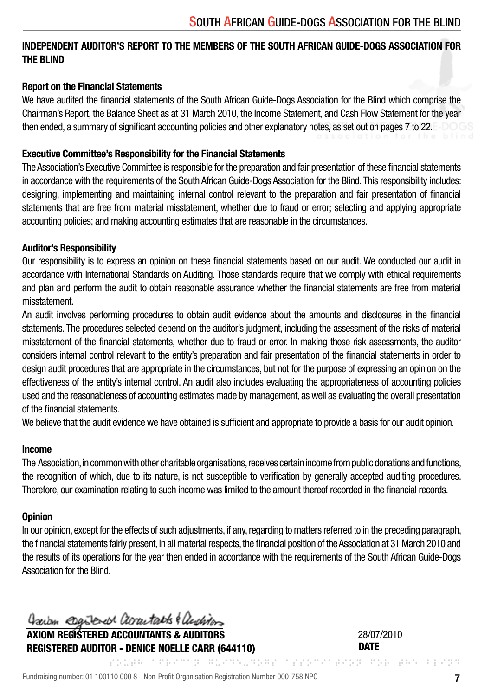#### Independent Auditor's Report To the members of the South African Guide-Dogs Association for the Blind

#### Report on the Financial Statements

We have audited the financial statements of the South African Guide-Dogs Association for the Blind which comprise the Chairman's Report, the Balance Sheet as at 31 March 2010, the Income Statement, and Cash Flow Statement for the year then ended, a summary of significant accounting policies and other explanatory notes, as set out on pages 7 to 22.

#### Executive Committee's Responsibility for the Financial Statements

The Association's Executive Committee is responsible for the preparation and fair presentation of these financial statements in accordance with the requirements of the South African Guide-Dogs Association for the Blind. This responsibility includes: designing, implementing and maintaining internal control relevant to the preparation and fair presentation of financial statements that are free from material misstatement, whether due to fraud or error; selecting and applying appropriate accounting policies; and making accounting estimates that are reasonable in the circumstances.

#### Auditor's Responsibility

Our responsibility is to express an opinion on these financial statements based on our audit. We conducted our audit in accordance with International Standards on Auditing. Those standards require that we comply with ethical requirements and plan and perform the audit to obtain reasonable assurance whether the financial statements are free from material misstatement.

An audit involves performing procedures to obtain audit evidence about the amounts and disclosures in the financial statements. The procedures selected depend on the auditor's judgment, including the assessment of the risks of material misstatement of the financial statements, whether due to fraud or error. In making those risk assessments, the auditor considers internal control relevant to the entity's preparation and fair presentation of the financial statements in order to design audit procedures that are appropriate in the circumstances, but not for the purpose of expressing an opinion on the effectiveness of the entity's internal control. An audit also includes evaluating the appropriateness of accounting policies used and the reasonableness of accounting estimates made by management, as well as evaluating the overall presentation of the financial statements.

We believe that the audit evidence we have obtained is sufficient and appropriate to provide a basis for our audit opinion.

#### Income

The Association, in common with other charitable organisations, receives certain income from public donations and functions, the recognition of which, due to its nature, is not susceptible to verification by generally accepted auditing procedures. Therefore, our examination relating to such income was limited to the amount thereof recorded in the financial records.

#### **Opinion**

In our opinion, except for the effects of such adjustments, if any, regarding to matters referred to in the preceding paragraph, the financial statements fairly present, in all material respects, the financial position of the Association at 31 March 2010 and the results of its operations for the year then ended in accordance with the requirements of the South African Guide-Dogs Association for the Blind.

SOUTH AFRICAN GUIDE-DOGS ASSOCIATION FOR THE BLIND

Jaion esgitered accastable & auchtors

AXIOM REGISTERED ACCOUNTANTS & AUDITORS REGISTERED AUDITOR - DENICE NOELLE CARR (644110) DATE

28/07/2010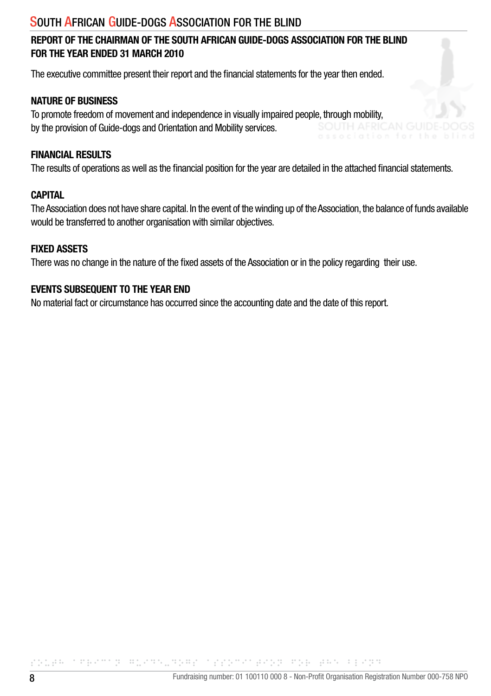#### REPORT OF THE CHAIRMAN OF THE SOUTH AFRICAN GUIDE-DOGS ASSOCIATION FOR THE BLIND FOR THE YEAR ENDED 31 MARCH 2010

The executive committee present their report and the financial statements for the year then ended.

#### NATURE OF BUSINESS

To promote freedom of movement and independence in visually impaired people, through mobility, by the provision of Guide-dogs and Orientation and Mobility services.

#### FINANCIAL RESULTS

The results of operations as well as the financial position for the year are detailed in the attached financial statements.

#### **CAPITAL**

The Association does not have share capital. In the event of the winding up of the Association, the balance of funds available would be transferred to another organisation with similar objectives.

#### FIXED ASSETS

There was no change in the nature of the fixed assets of the Association or in the policy regarding their use.

#### EVENTS SUBSEQUENT TO THE YEAR END

No material fact or circumstance has occurred since the accounting date and the date of this report.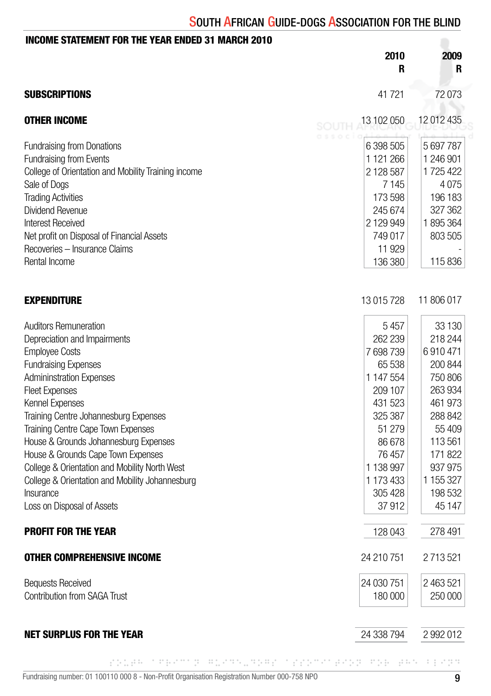#### R 721 102 050 398 505 121 266 128 587 145 598 674 129 949 017 929 380 015 728 457 239 698 739 538 147 554 107 523 387 279 678 457 138 997 173 433 428 912 043 210 751 030 751 000 338 794 **SUBSCRIPTIONS** OTHER INCOME Fundraising from Donations Fundraising from Events College of Orientation and Mobility Training income Sale of Dogs Trading Activities Dividend Revenue Interest Received Net profit on Disposal of Financial Assets Recoveries – Insurance Claims Rental Income **EXPENDITURE** Auditors Remuneration Depreciation and Impairments Employee Costs Fundraising Expenses Admininstration Expenses Fleet Expenses Kennel Expenses Training Centre Johannesburg Expenses Training Centre Cape Town Expenses House & Grounds Johannesburg Expenses House & Grounds Cape Town Expenses College & Orientation and Mobility North West College & Orientation and Mobility Johannesburg Insurance Loss on Disposal of Assets PROFIT FOR THE YEAR OTHER COMPREHENSIVE INCOME Bequests Received Contribution from SAGA Trust NET SURPLUS FOR THE YEAR R 073 012 435 697 787 246 901 725 422 075 183 362 895 364 505 - 836 806 017 130 244 910 471 844 806 934 973 842 409 561 822 037 075 155 327 532 147 491 713 521 463 521 000 992 012

SOUTH AFRICAN GUIDE-DOGS ASSOCIATION FOR THE BLIND

INCOME STATEMENT FOR THE YEAR ENDED 31 MARCH 2010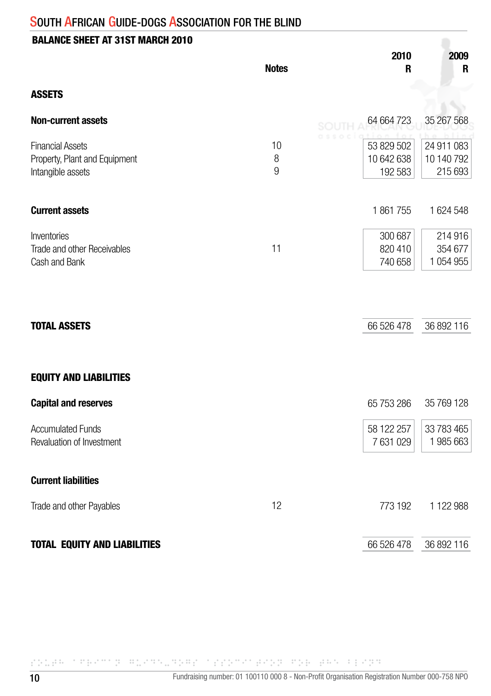| <b>BALANCE SHEET AT 31ST MARCH 2010</b>                                       |              |                                     |                                     |
|-------------------------------------------------------------------------------|--------------|-------------------------------------|-------------------------------------|
|                                                                               | <b>Notes</b> | 2010<br>R                           | 2009<br>R                           |
| <b>ASSETS</b>                                                                 |              |                                     |                                     |
| <b>Non-current assets</b>                                                     |              | 64 664 723                          | 35 267 568                          |
| <b>Financial Assets</b><br>Property, Plant and Equipment<br>Intangible assets | 10<br>8<br>9 | 53 829 502<br>10 642 638<br>192 583 | 24 911 083<br>10 140 792<br>215 693 |
| <b>Current assets</b>                                                         |              | 1861755                             | 1 624 548                           |
| Inventories<br>Trade and other Receivables<br>Cash and Bank                   | 11           | 300 687<br>820 410<br>740 658       | 214 916<br>354 677<br>1 0 5 4 9 5 5 |
| <b>TOTAL ASSETS</b>                                                           |              | 66 526 478                          | 36 892 116                          |
|                                                                               |              |                                     |                                     |
| <b>EQUITY AND LIABILITIES</b>                                                 |              |                                     |                                     |
| <b>Capital and reserves</b>                                                   |              | 65 753 286                          | 35 769 128                          |
| <b>Accumulated Funds</b><br>Revaluation of Investment                         |              | 58 122 257<br>7631029               | 33 783 465<br>1985 663              |
| <b>Current liabilities</b>                                                    |              |                                     |                                     |
| Trade and other Payables                                                      | 12           | 773 192                             | 1 122 988                           |
| <b>TOTAL EQUITY AND LIABILITIES</b>                                           |              | 66 526 478                          | 36 892 116                          |

SOUTH AFRICAN GUIDE-DOGS ASSOCIATE DESCRIPTION FOR THE BLIND ASSOCIATE DESCRIPTION FOR THE BLIND ASSOCIATE DE<br>Englished and the Blind African Guide-Docenne in Apple Description and the Blind and African Guide-Docenne and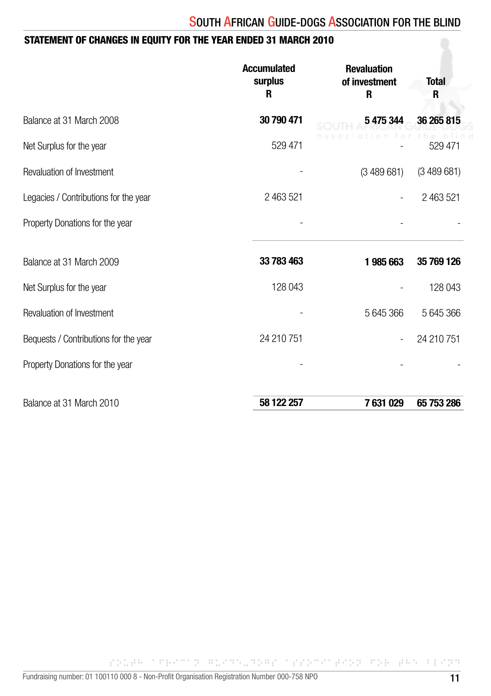## Statement of changes in equity for the year ended 31 march 2010

|                                       | <b>Accumulated</b><br><b>surplus</b><br>R | <b>Revaluation</b><br>of investment<br>R | <b>Total</b><br>R |
|---------------------------------------|-------------------------------------------|------------------------------------------|-------------------|
| Balance at 31 March 2008              | 30 790 471                                | 5 475 344                                | 36 265 815        |
| Net Surplus for the year              | 529 471                                   |                                          | 529 471           |
| Revaluation of Investment             |                                           | (3489681)                                | (3489681)         |
| Legacies / Contributions for the year | 2 463 521                                 |                                          | 2 463 521         |
| Property Donations for the year       |                                           |                                          |                   |
| Balance at 31 March 2009              | 33 783 463                                | 1985663                                  | 35 769 126        |
| Net Surplus for the year              | 128 043                                   |                                          | 128 043           |
| Revaluation of Investment             |                                           | 5645366                                  | 5645366           |
| Bequests / Contributions for the year | 24 210 751                                |                                          | 24 210 751        |
| Property Donations for the year       |                                           |                                          |                   |
| Balance at 31 March 2010              | 58 122 257                                | 7631029                                  | 65 753 286        |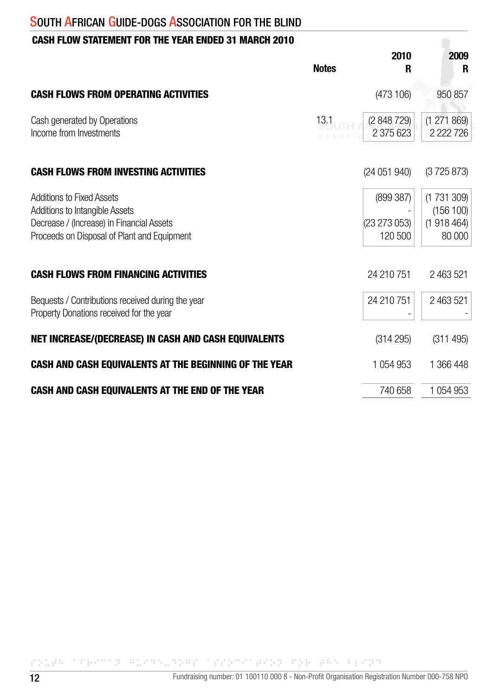## cash flow Statement for the year ended 31 march 2010

|                                                                                                                                                         | <b>Notes</b> | 2010<br>R                            | 2009<br>R                                     |
|---------------------------------------------------------------------------------------------------------------------------------------------------------|--------------|--------------------------------------|-----------------------------------------------|
| <b>CASH FLOWS FROM OPERATING ACTIVITIES</b>                                                                                                             |              | (473106)                             | 950 857                                       |
| Cash generated by Operations<br>Income from Investments                                                                                                 | 13.1         | (2848729)<br>2 375 623               | (1 271 869)<br>2 2 2 7 2 6                    |
| <b>CASH FLOWS FROM INVESTING ACTIVITIES</b>                                                                                                             |              | (24051940)                           | (3725873)                                     |
| Additions to Fixed Assets<br>Additions to Intangible Assets<br>Decrease / (Increase) in Financial Assets<br>Proceeds on Disposal of Plant and Equipment |              | (899 387)<br>(23 273 053)<br>120 500 | (1731309)<br>(156 100)<br>(1918464)<br>80 000 |
| <b>CASH FLOWS FROM FINANCING ACTIVITIES</b>                                                                                                             |              | 24 210 751                           | 2 463 521                                     |
| Bequests / Contributions received during the year<br>Property Donations received for the year                                                           |              | 24 210 751                           | 2 463 521                                     |
| NET INCREASE/(DECREASE) IN CASH AND CASH EQUIVALENTS                                                                                                    |              | (314295)                             | (311 495)                                     |
| CASH AND CASH EQUIVALENTS AT THE BEGINNING OF THE YEAR                                                                                                  |              | 1 054 953                            | 1 366 448                                     |
| CASH AND CASH EQUIVALENTS AT THE END OF THE YEAR                                                                                                        |              | 740 658                              | 1 054 953                                     |

SOUTH AFRICAN GUIDE-DOGS ASSOCIATE DES SOUTH AFRICAN GUIDE-DOGS ASSOCIATE DE DOGS ASSOCIATION FOR THE BLIND BL<br>The Blind Blind Blind Blind Blind Blind Blind Blind Blind Blind Blind Blind Blind Blind Blind Blind Blind Blin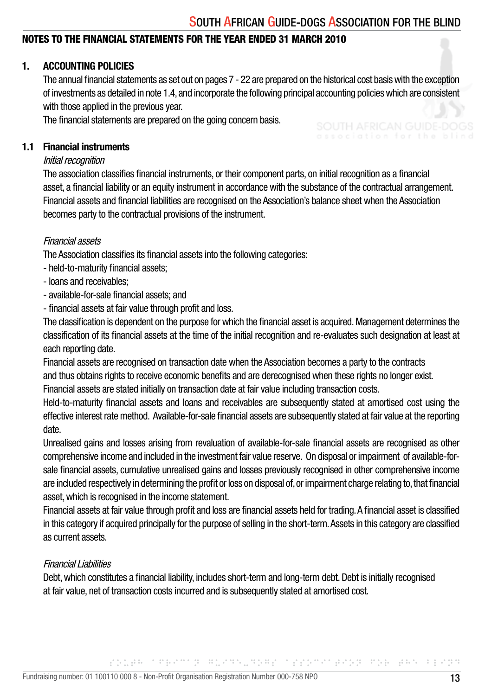## Notes to the financial statements for the year ended 31 march 2010

#### 1. ACCOUNTING POLICIES

 The annual financial statements as set out on pages 7 - 22 are prepared on the historical cost basis with the exception of investments as detailed in note 1.4, and incorporate the following principal accounting policies which are consistent with those applied in the previous year.

The financial statements are prepared on the going concern basis.

#### 1.1 Financial instruments

#### Initial recognition

The association classifies financial instruments, or their component parts, on initial recognition as a financial asset, a financial liability or an equity instrument in accordance with the substance of the contractual arrangement. Financial assets and financial liabilities are recognised on the Association's balance sheet when the Association becomes party to the contractual provisions of the instrument.

#### Financial assets

The Association classifies its financial assets into the following categories:

- held-to-maturity financial assets;

- loans and receivables;
- available-for-sale financial assets; and
- financial assets at fair value through profit and loss.

 The classification is dependent on the purpose for which the financial asset is acquired. Management determines the classification of its financial assets at the time of the initial recognition and re-evaluates such designation at least at each reporting date.

Financial assets are recognised on transaction date when the Association becomes a party to the contracts and thus obtains rights to receive economic benefits and are derecognised when these rights no longer exist. Financial assets are stated initially on transaction date at fair value including transaction costs.

 Held-to-maturity financial assets and loans and receivables are subsequently stated at amortised cost using the effective interest rate method. Available-for-sale financial assets are subsequently stated at fair value at the reporting date.

 Unrealised gains and losses arising from revaluation of available-for-sale financial assets are recognised as other comprehensive income and included in the investment fair value reserve. On disposal or impairment of available-forsale financial assets, cumulative unrealised gains and losses previously recognised in other comprehensive income are included respectively in determining the profit or loss on disposal of, or impairment charge relating to, that financial asset, which is recognised in the income statement.

 Financial assets at fair value through profit and loss are financial assets held for trading. A financial asset is classified in this category if acquired principally for the purpose of selling in the short-term. Assets in this category are classified as current assets.

SOUTH AFRICAN GUIDE-DOGS ASSOCIATION FOR THE BLIND

#### Financial Liabilities

Debt, which constitutes a financial liability, includes short-term and long-term debt. Debt is initially recognised at fair value, net of transaction costs incurred and is subsequently stated at amortised cost.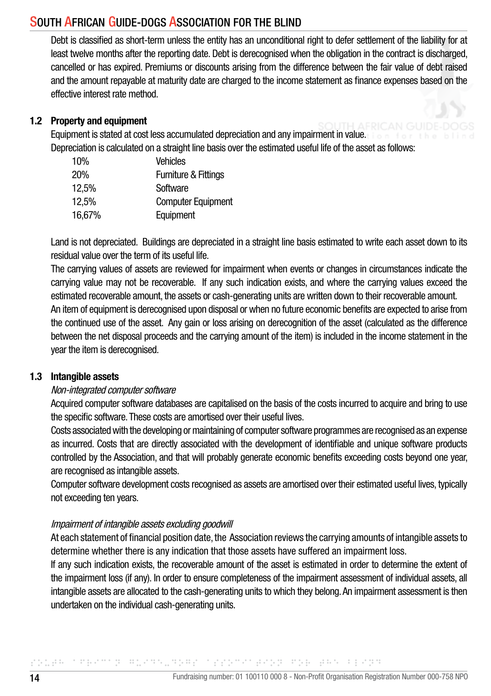Debt is classified as short-term unless the entity has an unconditional right to defer settlement of the liability for at least twelve months after the reporting date. Debt is derecognised when the obligation in the contract is discharged, cancelled or has expired. Premiums or discounts arising from the difference between the fair value of debt raised and the amount repayable at maturity date are charged to the income statement as finance expenses based on the effective interest rate method.

#### 1.2 Property and equipment

Equipment is stated at cost less accumulated depreciation and any impairment in value. Depreciation is calculated on a straight line basis over the estimated useful life of the asset as follows:

| 10%    | Vehicles                        |
|--------|---------------------------------|
| 20%    | <b>Furniture &amp; Fittings</b> |
| 12,5%  | Software                        |
| 12,5%  | <b>Computer Equipment</b>       |
| 16,67% | Equipment                       |

 Land is not depreciated. Buildings are depreciated in a straight line basis estimated to write each asset down to its residual value over the term of its useful life.

 The carrying values of assets are reviewed for impairment when events or changes in circumstances indicate the carrying value may not be recoverable. If any such indication exists, and where the carrying values exceed the estimated recoverable amount, the assets or cash-generating units are written down to their recoverable amount. An item of equipment is derecognised upon disposal or when no future economic benefits are expected to arise from the continued use of the asset. Any gain or loss arising on derecognition of the asset (calculated as the difference between the net disposal proceeds and the carrying amount of the item) is included in the income statement in the year the item is derecognised.

#### 1.3 Intangible assets

#### Non-integrated computer software

 Acquired computer software databases are capitalised on the basis of the costs incurred to acquire and bring to use the specific software. These costs are amortised over their useful lives.

 Costs associated with the developing or maintaining of computer software programmes are recognised as an expense as incurred. Costs that are directly associated with the development of identifiable and unique software products controlled by the Association, and that will probably generate economic benefits exceeding costs beyond one year, are recognised as intangible assets.

 Computer software development costs recognised as assets are amortised over their estimated useful lives, typically not exceeding ten years.

#### Impairment of intangible assets excluding goodwill

 At each statement of financial position date, the Association reviews the carrying amounts of intangible assets to determine whether there is any indication that those assets have suffered an impairment loss.

If any such indication exists, the recoverable amount of the asset is estimated in order to determine the extent of the impairment loss (if any). In order to ensure completeness of the impairment assessment of individual assets, all intangible assets are allocated to the cash-generating units to which they belong. An impairment assessment is then undertaken on the individual cash-generating units.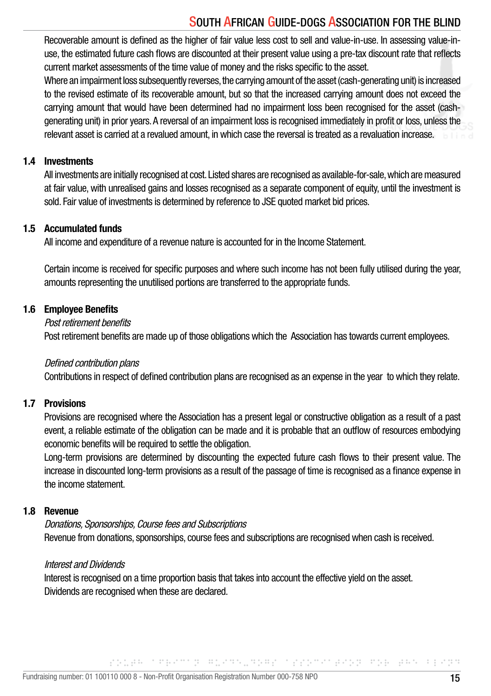Recoverable amount is defined as the higher of fair value less cost to sell and value-in-use. In assessing value-inuse, the estimated future cash flows are discounted at their present value using a pre-tax discount rate that reflects current market assessments of the time value of money and the risks specific to the asset.

Where an impairment loss subsequently reverses, the carrying amount of the asset (cash-generating unit) is increased to the revised estimate of its recoverable amount, but so that the increased carrying amount does not exceed the carrying amount that would have been determined had no impairment loss been recognised for the asset (cashgenerating unit) in prior years. A reversal of an impairment loss is recognised immediately in profit or loss, unless the relevant asset is carried at a revalued amount, in which case the reversal is treated as a revaluation increase.

#### 1.4 Investments

 All investments are initially recognised at cost. Listed shares are recognised as available-for-sale, which are measured at fair value, with unrealised gains and losses recognised as a separate component of equity, until the investment is sold. Fair value of investments is determined by reference to JSE quoted market bid prices.

#### 1.5 Accumulated funds

All income and expenditure of a revenue nature is accounted for in the Income Statement.

 Certain income is received for specific purposes and where such income has not been fully utilised during the year, amounts representing the unutilised portions are transferred to the appropriate funds.

#### 1.6 Employee Benefits

#### Post retirement benefits

Post retirement benefits are made up of those obligations which the Association has towards current employees.

#### Defined contribution plans

Contributions in respect of defined contribution plans are recognised as an expense in the year to which they relate.

#### 1.7 Provisions

 Provisions are recognised where the Association has a present legal or constructive obligation as a result of a past event, a reliable estimate of the obligation can be made and it is probable that an outflow of resources embodying economic benefits will be required to settle the obligation.

 Long-term provisions are determined by discounting the expected future cash flows to their present value. The increase in discounted long-term provisions as a result of the passage of time is recognised as a finance expense in the income statement.

SOUTH AFRICAN GUIDE-DOGS ASSOCIATION FOR THE BLIND

#### 1.8 Revenue

Donations, Sponsorships, Course fees and Subscriptions Revenue from donations, sponsorships, course fees and subscriptions are recognised when cash is received.

#### Interest and Dividends

Interest is recognised on a time proportion basis that takes into account the effective yield on the asset. Dividends are recognised when these are declared.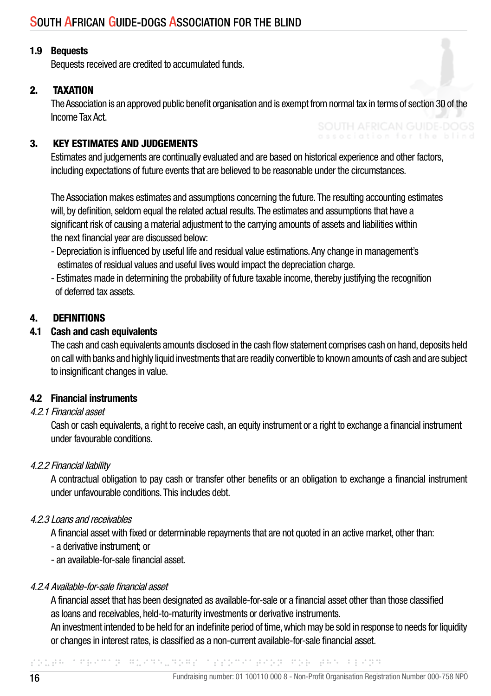#### 1.9 Bequests

Bequests received are credited to accumulated funds.

#### 2. TAXATION

 The Association is an approved public benefit organisation and is exempt from normal tax in terms of section 30 of the Income Tax Act.

#### 3. KEY ESTIMATES AND JUDGEMENTS

Estimates and judgements are continually evaluated and are based on historical experience and other factors, including expectations of future events that are believed to be reasonable under the circumstances.

The Association makes estimates and assumptions concerning the future. The resulting accounting estimates will, by definition, seldom equal the related actual results. The estimates and assumptions that have a significant risk of causing a material adjustment to the carrying amounts of assets and liabilities within the next financial year are discussed below:

- Depreciation is influenced by useful life and residual value estimations. Any change in management's estimates of residual values and useful lives would impact the depreciation charge.
- Estimates made in determining the probability of future taxable income, thereby justifying the recognition of deferred tax assets.

#### 4. DEFINITIONS

#### 4.1 Cash and cash equivalents

 The cash and cash equivalents amounts disclosed in the cash flow statement comprises cash on hand, deposits held on call with banks and highly liquid investments that are readily convertible to known amounts of cash and are subject to insignificant changes in value.

#### 4.2 Financial instruments

#### 4.2.1 Financial asset

Cash or cash equivalents, a right to receive cash, an equity instrument or a right to exchange a financial instrument under favourable conditions.

#### 4.2.2 Financial liability

 A contractual obligation to pay cash or transfer other benefits or an obligation to exchange a financial instrument under unfavourable conditions. This includes debt.

#### 4.2.3 Loans and receivables

A financial asset with fixed or determinable repayments that are not quoted in an active market, other than:

- a derivative instrument; or
- an available-for-sale financial asset.

#### 4.2.4 Available-for-sale financial asset

A financial asset that has been designated as available-for-sale or a financial asset other than those classified as loans and receivables, held-to-maturity investments or derivative instruments.

 An investment intended to be held for an indefinite period of time, which may be sold in response to needs for liquidity or changes in interest rates, is classified as a non-current available-for-sale financial asset.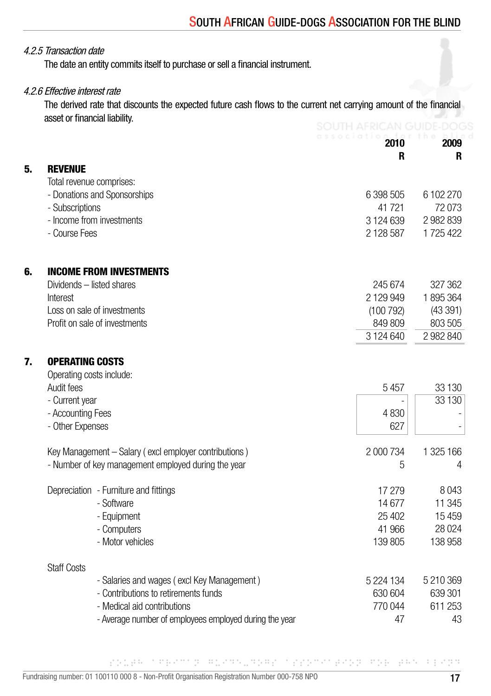## 4.2.5 Transaction date

The date an entity commits itself to purchase or sell a financial instrument.

#### 4.2.6 Effective interest rate

 The derived rate that discounts the expected future cash flows to the current net carrying amount of the financial asset or financial liability.

|    |                                                        | 2010<br>R     | 2009<br>R |
|----|--------------------------------------------------------|---------------|-----------|
| 5. | <b>REVENUE</b>                                         |               |           |
|    | Total revenue comprises:                               |               |           |
|    | - Donations and Sponsorships                           | 6 398 505     | 6 102 270 |
|    | - Subscriptions                                        | 41 7 21       | 72 073    |
|    | - Income from investments                              | 3 124 639     | 2 982 839 |
|    | - Course Fees                                          | 2 128 587     | 1725422   |
| 6. | <b>INCOME FROM INVESTMENTS</b>                         |               |           |
|    | Dividends - listed shares                              | 245 674       | 327 362   |
|    | Interest                                               | 2129949       | 1895364   |
|    | Loss on sale of investments                            | (100792)      | (43391)   |
|    | Profit on sale of investments                          | 849 809       | 803 505   |
|    |                                                        | 3 124 640     | 2 982 840 |
| 7. | <b>OPERATING COSTS</b>                                 |               |           |
|    | Operating costs include:                               |               |           |
|    | Audit fees                                             | 5457          | 33 130    |
|    | - Current year                                         |               | 33 130    |
|    | - Accounting Fees                                      | 4830          |           |
|    | - Other Expenses                                       | 627           |           |
|    | Key Management - Salary (excl employer contributions)  | 2 000 734     | 1 325 166 |
|    | - Number of key management employed during the year    | 5             | 4         |
|    | Depreciation - Furniture and fittings                  | 17 279        | 8043      |
|    | - Software                                             | 14 677        | 11 345    |
|    | - Equipment                                            | 25 402        | 15 4 5 9  |
|    | - Computers                                            | 41 966        | 28 0 24   |
|    | - Motor vehicles                                       | 139 805       | 138 958   |
|    | <b>Staff Costs</b>                                     |               |           |
|    | - Salaries and wages (excl Key Management)             | 5 2 2 4 1 3 4 | 5 210 369 |
|    | - Contributions to retirements funds                   | 630 604       | 639 301   |
|    | - Medical aid contributions                            | 770 044       | 611 253   |
|    | - Average number of employees employed during the year | 47            | 43        |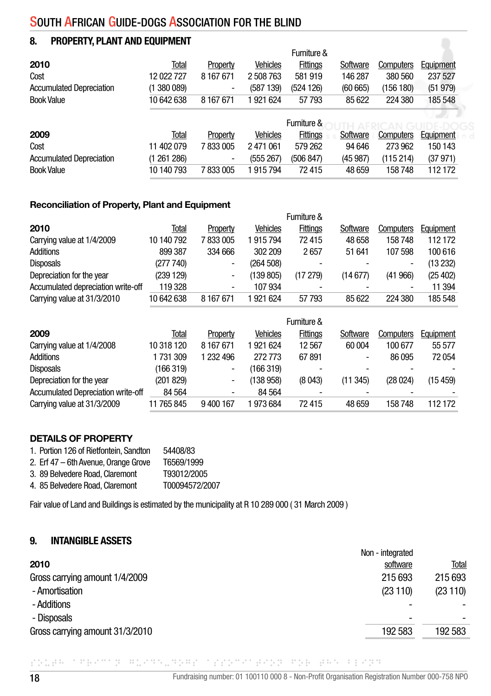#### 8. PROPERTY, PLANT AND EQUIPMENT

|                                 |               |                          |                 | Furniture &     |          |           |           |
|---------------------------------|---------------|--------------------------|-----------------|-----------------|----------|-----------|-----------|
| 2010                            | Total         | Property                 | <b>Vehicles</b> | <b>Fittings</b> | Software | Computers | Equipment |
| Cost                            | 12 022 727    | 8 167 671                | 2 508 763       | 581 919         | 146 287  | 380 560   | 237 527   |
| <b>Accumulated Depreciation</b> | (1, 380, 089) |                          | (587139)        | (524126)        | (60665)  | (156180)  | (51979)   |
| <b>Book Value</b>               | 10 642 638    | 8 167 671                | 1921624         | 57 793          | 85 622   | 224 380   | 185 548   |
|                                 |               |                          |                 | Furniture &     |          |           |           |
| 2009                            | Total         | Property                 | <b>Vehicles</b> | <b>Fittings</b> | Software | Computers | Equipment |
| Cost                            | 11 402 079    | 7 833 005                | 2471061         | 579 262         | 94 64 6  | 273 962   | 150 143   |
| <b>Accumulated Depreciation</b> | (1261286)     | $\overline{\phantom{0}}$ | (555 267)       | (506 847)       | (45987)  | (115214)  | (37971)   |
| <b>Book Value</b>               | 10 140 793    | 7833005                  | 1915794         | 72415           | 48 659   | 158 748   | 112172    |

#### Reconciliation of Property, Plant and Equipment

|                                    |            |                          |                 | Furniture & |          |                  |           |
|------------------------------------|------------|--------------------------|-----------------|-------------|----------|------------------|-----------|
| 2010                               | Total      | Property                 | <b>Vehicles</b> | Fittings    | Software | <b>Computers</b> | Equipment |
| Carrying value at 1/4/2009         | 10 140 792 | 7833005                  | 915794          | 72415       | 48 658   | 158748           | 112172    |
| Additions                          | 899 387    | 334 666                  | 302 209         | 2657        | 51 641   | 107 598          | 100 616   |
| <b>Disposals</b>                   | (277740)   | $\overline{\phantom{a}}$ | (264 508)       |             |          |                  | (13 232)  |
| Depreciation for the year          | (239 129)  | $\overline{\phantom{a}}$ | (139 805)       | (17279)     | (14677)  | (41966)          | (25 402)  |
| Accumulated depreciation write-off | 119 328    | ۰                        | 107 934         | -           |          | -                | 11 394    |
| Carrying value at 31/3/2010        | 10 642 638 | 8 167 671                | 921 624         | 57 793      | 85 622   | 224 380          | 185 548   |

|                                           |            |                          |           | Furniture &     |          |           |           |
|-------------------------------------------|------------|--------------------------|-----------|-----------------|----------|-----------|-----------|
| 2009                                      | Total      | Property                 | Vehicles  | <b>Fittings</b> | Software | Computers | Equipment |
| Carrying value at 1/4/2008                | 10 318 120 | 8 167 671                | 921 624   | 12 567          | 60 004   | 100677    | 55 577    |
| Additions                                 | 1731309    | 232 496                  | 272 773   | 67891           | -        | 86 095    | 72054     |
| Disposals                                 | (166 319)  | $\overline{\phantom{a}}$ | (166 319) |                 |          |           |           |
| Depreciation for the year                 | (201 829)  | $\overline{\phantom{a}}$ | (138 958) | (8043)          | (11345)  | (28024)   | (15 459)  |
| <b>Accumulated Depreciation write-off</b> | 84 564     | -                        | 84 564    |                 |          |           |           |
| Carrying value at 31/3/2009               | 11 765 845 | 9400167                  | 973684    | 72415           | 48 659   | 158748    | 112 172   |

#### DETAILS OF PROPERTY

| 54408/83                                                                                                                                             |
|------------------------------------------------------------------------------------------------------------------------------------------------------|
| T6569/1999                                                                                                                                           |
| T93012/2005                                                                                                                                          |
| T00094572/2007                                                                                                                                       |
| 1. Portion 126 of Rietfontein, Sandton<br>2. Erf 47 - 6th Avenue, Orange Grove<br>3. 89 Belvedere Road, Claremont<br>4. 85 Belvedere Road, Claremont |

Fair value of Land and Buildings is estimated by the municipality at R 10 289 000 ( 31 March 2009 )

#### 9. INTANGIBLE ASSETS

|                                 | Non - integrated |         |
|---------------------------------|------------------|---------|
| 2010                            | software         | Total   |
| Gross carrying amount 1/4/2009  | 215 693          | 215 693 |
| - Amortisation                  | (23110)          | (23110) |
| - Additions                     |                  |         |
| - Disposals                     |                  |         |
| Gross carrying amount 31/3/2010 | 192 583          | 192 583 |
|                                 |                  |         |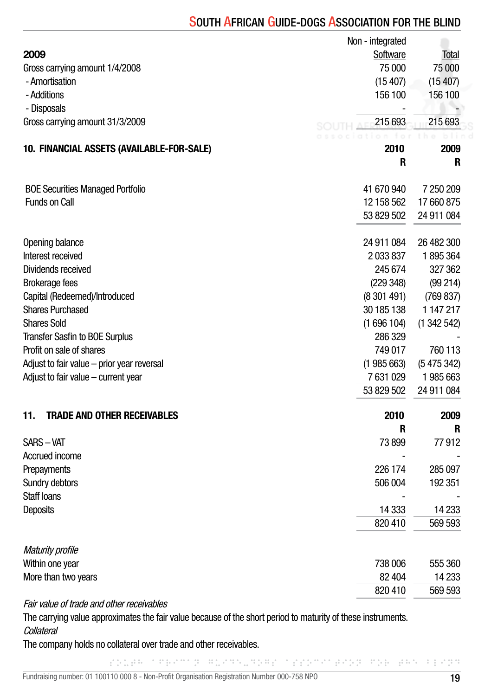|                                            | Non - integrated |              |
|--------------------------------------------|------------------|--------------|
| 2009                                       | <b>Software</b>  | <b>Total</b> |
| Gross carrying amount 1/4/2008             | 75 000           | 75 000       |
| - Amortisation                             | (15 407)         | (15 407)     |
| - Additions                                | 156 100          | 156 100      |
| - Disposals                                |                  |              |
| Gross carrying amount 31/3/2009            | 215 693          | 215 693      |
|                                            | for              | the          |
| 10. FINANCIAL ASSETS (AVAILABLE-FOR-SALE)  | 2010             | 2009         |
|                                            | R                | R            |
| <b>BOE Securities Managed Portfolio</b>    | 41 670 940       | 7 250 209    |
| <b>Funds on Call</b>                       | 12 158 562       | 17 660 875   |
|                                            | 53 829 502       | 24 911 084   |
| Opening balance                            | 24 911 084       | 26 482 300   |
| Interest received                          | 2 033 837        | 1895364      |
| Dividends received                         | 245 674          | 327 362      |
| <b>Brokerage fees</b>                      | (229 348)        | (99 214)     |
| Capital (Redeemed)/Introduced              | (8301491)        | (769 837)    |
| <b>Shares Purchased</b>                    | 30 185 138       | 1 147 217    |
| <b>Shares Sold</b>                         | (1696104)        | (1342542)    |
| <b>Transfer Sasfin to BOE Surplus</b>      | 286 329          |              |
| Profit on sale of shares                   | 749 017          | 760 113      |
| Adjust to fair value - prior year reversal | (1985663)        | (5475342)    |
| Adjust to fair value - current year        | 7631029          | 1985663      |
|                                            | 53 829 502       | 24 911 084   |
| <b>TRADE AND OTHER RECEIVABLES</b><br>11.  | 2010             | 2009         |
|                                            | R                | R            |
| SARS-VAT                                   | 73899            | 77912        |
| Accrued income                             |                  |              |
| Prepayments                                | 226 174          | 285 097      |
| Sundry debtors<br>Staff Ioans              | 506 004          | 192 351      |
| <b>Deposits</b>                            | 14 3 33          | 14 2 33      |
|                                            | 820410           | 569 593      |
|                                            |                  |              |
| Maturity profile                           |                  |              |
| Within one year                            | 738 006          | 555 360      |
| More than two years                        | 82 404           | 14 2 33      |
|                                            | 820410           | 569 593      |
| Fair value of trade and other receivables  |                  |              |

The carrying value approximates the fair value because of the short period to maturity of these instruments. **Collateral** 

The company holds no collateral over trade and other receivables.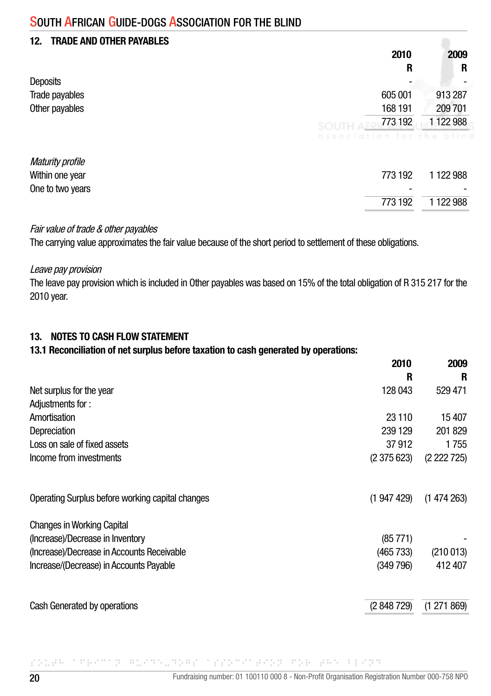#### 12. TRADE AND OTHER PAYABLES

|                         | 2010            | 2009      |
|-------------------------|-----------------|-----------|
|                         | R               | R         |
| Deposits                |                 |           |
| Trade payables          | 605 001         | 913 287   |
| Other payables          | 168 191         | 209 701   |
|                         | 773 192<br>SOL  | 1122988   |
|                         | association for | in        |
| <b>Maturity profile</b> |                 |           |
| Within one year         | 773 192         | 1 122 988 |
| One to two years        |                 |           |
|                         | 773 192         | 1122988   |

#### Fair value of trade & other payables

The carrying value approximates the fair value because of the short period to settlement of these obligations.

#### Leave pay provision

The leave pay provision which is included in Other payables was based on 15% of the total obligation of R 315 217 for the 2010 year.

#### 13. NOTES TO CASH FLOW STATEMENT

#### 13.1 Reconciliation of net surplus before taxation to cash generated by operations:

|                                                  | 2010        | 2009        |
|--------------------------------------------------|-------------|-------------|
|                                                  | R           | R           |
| Net surplus for the year                         | 128 043     | 529 471     |
| Adjustments for:                                 |             |             |
| Amortisation                                     | 23 110      | 15407       |
| Depreciation                                     | 239 129     | 201 829     |
| Loss on sale of fixed assets                     | 37912       | 1755        |
| Income from investments                          | (2375623)   | (2 222 725) |
| Operating Surplus before working capital changes | (1947429)   | (1474263)   |
| <b>Changes in Working Capital</b>                |             |             |
| (Increase)/Decrease in Inventory                 | (85771)     |             |
| (Increase)/Decrease in Accounts Receivable       | (465 733)   | (210013)    |
| Increase/(Decrease) in Accounts Payable          | (349796)    | 412 407     |
| Cash Generated by operations                     | (2 848 729) | (1 271 869) |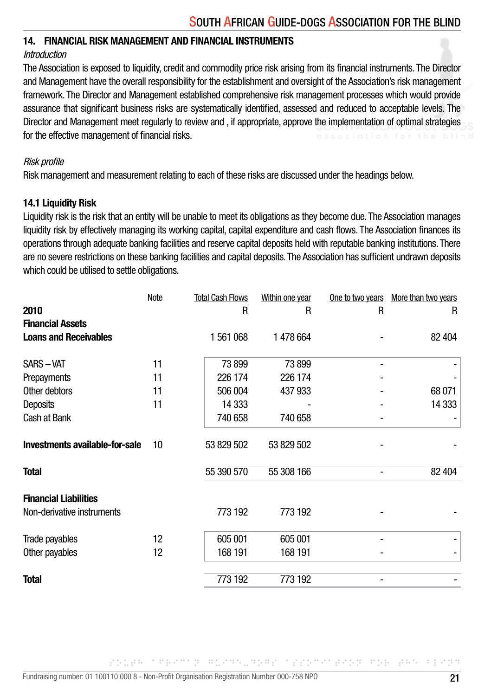#### 14. FINANCIAL RISK MANAGEMENT AND FINANCIAL INSTRUMENTS

#### **Introduction**

The Association is exposed to liquidity, credit and commodity price risk arising from its financial instruments. The Director and Management have the overall responsibility for the establishment and oversight of the Association's risk management framework. The Director and Management established comprehensive risk management processes which would provide assurance that significant business risks are systematically identified, assessed and reduced to acceptable levels. The Director and Management meet regularly to review and , if appropriate, approve the implementation of optimal strategies for the effective management of financial risks.

#### Risk profile

Risk management and measurement relating to each of these risks are discussed under the headings below.

#### 14.1 Liquidity Risk

Liquidity risk is the risk that an entity will be unable to meet its obligations as they become due. The Association manages liquidity risk by effectively managing its working capital, capital expenditure and cash flows. The Association finances its operations through adequate banking facilities and reserve capital deposits held with reputable banking institutions. There are no severe restrictions on these banking facilities and capital deposits. The Association has sufficient undrawn deposits which could be utilised to settle obligations.

|                                | Note | <b>Total Cash Flows</b> | Within one year | One to two years             | More than two years |
|--------------------------------|------|-------------------------|-----------------|------------------------------|---------------------|
| 2010                           |      | R                       | R               | R                            | R                   |
| <b>Financial Assets</b>        |      |                         |                 |                              |                     |
| <b>Loans and Receivables</b>   |      | 1 561 068               | 1478664         |                              | 82 404              |
| SARS-VAT                       | 11   | 73899                   | 73899           | $\qquad \qquad \blacksquare$ |                     |
| Prepayments                    | 11   | 226 174                 | 226 174         |                              |                     |
| Other debtors                  | 11   | 506 004                 | 437933          |                              | 68 071              |
| Deposits                       | 11   | 14 3 33                 |                 |                              | 14 333              |
| Cash at Bank                   |      | 740 658                 | 740 658         |                              |                     |
| Investments available-for-sale | 10   | 53 829 502              | 53 829 502      |                              |                     |
| <b>Total</b>                   |      | 55 390 570              | 55 308 166      |                              | 82 404              |
| <b>Financial Liabilities</b>   |      |                         |                 |                              |                     |
| Non-derivative instruments     |      | 773 192                 | 773 192         |                              |                     |
| Trade payables                 | 12   | 605 001                 | 605 001         |                              |                     |
| Other payables                 | 12   | 168 191                 | 168 191         |                              |                     |
| <b>Total</b>                   |      | 773 192                 | 773 192         | $\qquad \qquad \blacksquare$ |                     |
|                                |      |                         |                 |                              |                     |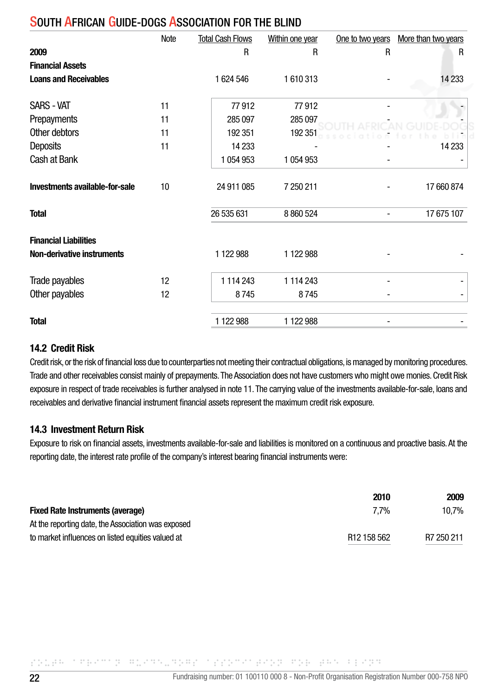|                                   | <b>Note</b> | <b>Total Cash Flows</b> | Within one year | One to two years | More than two years |
|-----------------------------------|-------------|-------------------------|-----------------|------------------|---------------------|
| 2009                              |             | R                       | R               | R                | R                   |
| <b>Financial Assets</b>           |             |                         |                 |                  |                     |
| <b>Loans and Receivables</b>      |             | 1 624 546               | 1610313         |                  | 14 233              |
| <b>SARS - VAT</b>                 | 11          | 77912                   | 77912           |                  |                     |
| Prepayments                       | 11          | 285 097                 | 285 097         |                  |                     |
| Other debtors                     | 11          | 192 351                 | 192 351         |                  |                     |
| Deposits                          | 11          | 14 233                  |                 |                  | 14 2 33             |
| Cash at Bank                      |             | 1 0 54 9 53             | 1 0 54 9 53     |                  |                     |
| Investments available-for-sale    | 10          | 24 911 085              | 7 250 211       |                  | 17 660 874          |
| <b>Total</b>                      |             | 26 535 631              | 8 8 6 5 5 2 4   |                  | 17 675 107          |
| <b>Financial Liabilities</b>      |             |                         |                 |                  |                     |
| <b>Non-derivative instruments</b> |             | 1 122 988               | 1 122 988       |                  |                     |
| Trade payables                    | 12          | 1 114 243               | 1 1 1 4 2 4 3   |                  | -                   |
| Other payables                    | 12          | 8745                    | 8745            |                  |                     |
| <b>Total</b>                      |             | 1 122 988               | 1 122 988       | -                |                     |

#### 14.2 Credit Risk

Credit risk, or the risk of financial loss due to counterparties not meeting their contractual obligations, is managed by monitoring procedures. Trade and other receivables consist mainly of prepayments. The Association does not have customers who might owe monies. Credit Risk exposure in respect of trade receivables is further analysed in note 11. The carrying value of the investments available-for-sale, loans and receivables and derivative financial instrument financial assets represent the maximum credit risk exposure.

#### 14.3 Investment Return Risk

Exposure to risk on financial assets, investments available-for-sale and liabilities is monitored on a continuous and proactive basis. At the reporting date, the interest rate profile of the company's interest bearing financial instruments were:

|                                                    | 2010                    | 2009       |
|----------------------------------------------------|-------------------------|------------|
| <b>Fixed Rate Instruments (average)</b>            | 7.7%                    | 10.7%      |
| At the reporting date, the Association was exposed |                         |            |
| to market influences on listed equities valued at  | R <sub>12</sub> 158 562 | R7 250 211 |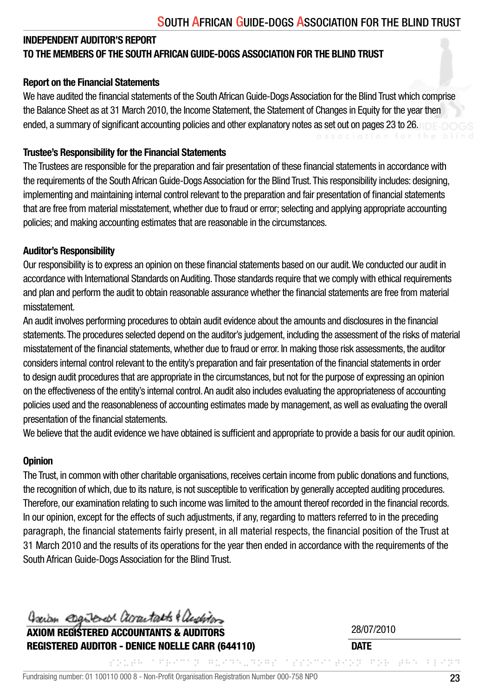#### Independent Auditor's Report To the members of the South African Guide-Dogs Association for the Blind Trust

#### Report on the Financial Statements

We have audited the financial statements of the South African Guide-Dogs Association for the Blind Trust which comprise the Balance Sheet as at 31 March 2010, the Income Statement, the Statement of Changes in Equity for the year then ended, a summary of significant accounting policies and other explanatory notes as set out on pages 23 to 26.

#### Trustee's Responsibility for the Financial Statements

The Trustees are responsible for the preparation and fair presentation of these financial statements in accordance with the requirements of the South African Guide-Dogs Association for the Blind Trust. This responsibility includes: designing, implementing and maintaining internal control relevant to the preparation and fair presentation of financial statements that are free from material misstatement, whether due to fraud or error; selecting and applying appropriate accounting policies; and making accounting estimates that are reasonable in the circumstances.

#### Auditor's Responsibility

Our responsibility is to express an opinion on these financial statements based on our audit. We conducted our audit in accordance with International Standards on Auditing. Those standards require that we comply with ethical requirements and plan and perform the audit to obtain reasonable assurance whether the financial statements are free from material misstatement.

An audit involves performing procedures to obtain audit evidence about the amounts and disclosures in the financial statements. The procedures selected depend on the auditor's judgement, including the assessment of the risks of material misstatement of the financial statements, whether due to fraud or error. In making those risk assessments, the auditor considers internal control relevant to the entity's preparation and fair presentation of the financial statements in order to design audit procedures that are appropriate in the circumstances, but not for the purpose of expressing an opinion on the effectiveness of the entity's internal control. An audit also includes evaluating the appropriateness of accounting policies used and the reasonableness of accounting estimates made by management, as well as evaluating the overall presentation of the financial statements.

We believe that the audit evidence we have obtained is sufficient and appropriate to provide a basis for our audit opinion.

#### **Opinion**

The Trust, in common with other charitable organisations, receives certain income from public donations and functions, the recognition of which, due to its nature, is not susceptible to verification by generally accepted auditing procedures. Therefore, our examination relating to such income was limited to the amount thereof recorded in the financial records. In our opinion, except for the effects of such adjustments, if any, regarding to matters referred to in the preceding paragraph, the financial statements fairly present, in all material respects, the financial position of the Trust at 31 March 2010 and the results of its operations for the year then ended in accordance with the requirements of the South African Guide-Dogs Association for the Blind Trust.

SOUTH AFRICAN GUIDE-DOGS ASSOCIATION FOR THE BLIND

Jarian esgatement accountants & auchtors

AXIOM REGISTERED ACCOUNTANTS & AUDITORS REGISTERED AUDITOR - DENICE NOELLE CARR (644110) 28/07/2010 **DATE** 

Fundraising number: 01 100110 000 8 - Non-Profit Organisation Registration Number 000-758 NPO 23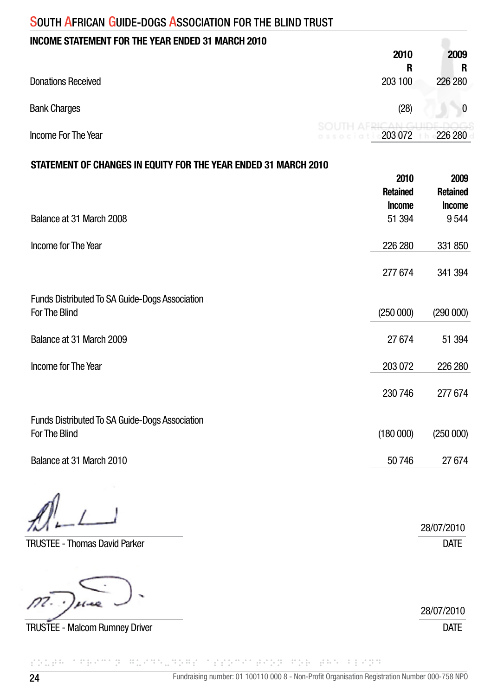| <b>INCOME STATEMENT FOR THE YEAR ENDED 31 MARCH 2010</b> |                            |         |
|----------------------------------------------------------|----------------------------|---------|
|                                                          | 2010                       | 2009    |
|                                                          | R                          | R       |
| <b>Donations Received</b>                                | 203 100                    | 226 280 |
| <b>Bank Charges</b>                                      | (28)                       |         |
| Income For The Year                                      | <b>0</b> ssociatio 203 072 | 226 280 |

#### STATEMENT OF CHANGES IN EQUITY FOR THE YEAR ENDED 31 MARCH 2010

|                                                                 | 2010<br><b>Retained</b><br><b>Income</b> | 2009<br><b>Retained</b><br><b>Income</b> |
|-----------------------------------------------------------------|------------------------------------------|------------------------------------------|
| Balance at 31 March 2008                                        | 51 394                                   | 9544                                     |
| Income for The Year                                             | 226 280                                  | 331 850                                  |
|                                                                 | 277 674                                  | 341 394                                  |
| Funds Distributed To SA Guide-Dogs Association<br>For The Blind | (250000)                                 | (290000)                                 |
| Balance at 31 March 2009                                        | 27 674                                   | 51 394                                   |
| Income for The Year                                             | 203 072                                  | 226 280                                  |
|                                                                 | 230 746                                  | 277674                                   |
| Funds Distributed To SA Guide-Dogs Association<br>For The Blind | (180000)                                 | (250000)                                 |
| Balance at 31 March 2010                                        | 50746                                    | 27674                                    |
|                                                                 |                                          |                                          |

TRUSTEE - Thomas David Parker DATE CONSERVERS AND THE SERVER OF THE SAME DATE OF THE SERVER OF THE SAME DATE

TRUSTEE - Malcom Rumney Driver **DATE DATE** 

SOUTH AFRICAN GUIDE-DOGS ASSOCIATION FOR THE BLIND

24 Fundraising number: 01 100110 000 8 - Non-Profit Organisation Registration Number 000-758 NPO

28/07/2010

28/07/2010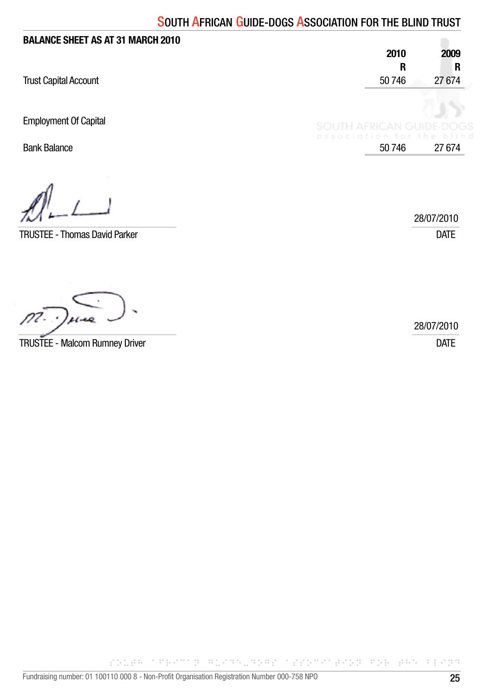| <b>BALANCE SHEET AS AT 31 MARCH 2010</b> |       |                           |
|------------------------------------------|-------|---------------------------|
|                                          | 2010  | 2009                      |
|                                          | R     | R                         |
| <b>Trust Capital Account</b>             | 50746 | 27 674                    |
|                                          |       |                           |
| <b>Employment Of Capital</b>             | SC    |                           |
|                                          |       |                           |
| <b>Bank Balance</b>                      | 50746 | 27 674                    |
| <b>TRUSTEE - Thomas David Parker</b>     |       | 28/07/2010<br><b>DATE</b> |
|                                          |       | 28/07/2010                |

TRUSTEE - Malcom Rumney Driver **DATE**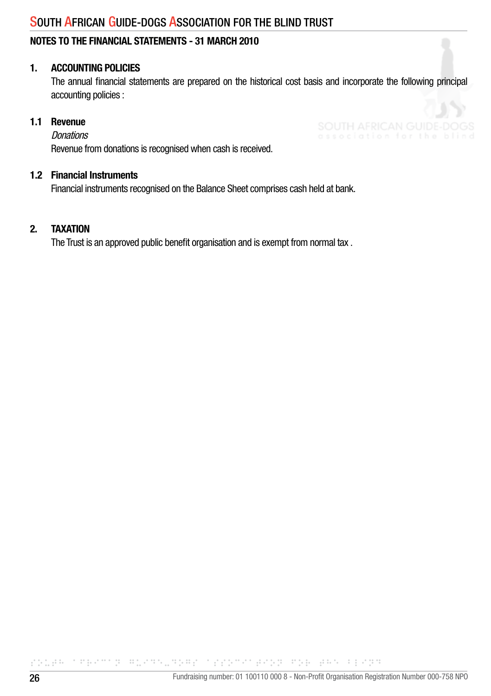#### NOTES TO THE FINANCIAL STATEMENTS - 31 MARCH 2010

#### 1. ACCOUNTING POLICIES

 The annual financial statements are prepared on the historical cost basis and incorporate the following principal accounting policies :

#### 1.1 Revenue

**Donations** Revenue from donations is recognised when cash is received.

#### 1.2 Financial Instruments

Financial instruments recognised on the Balance Sheet comprises cash held at bank.

#### 2. TAXATION

The Trust is an approved public benefit organisation and is exempt from normal tax .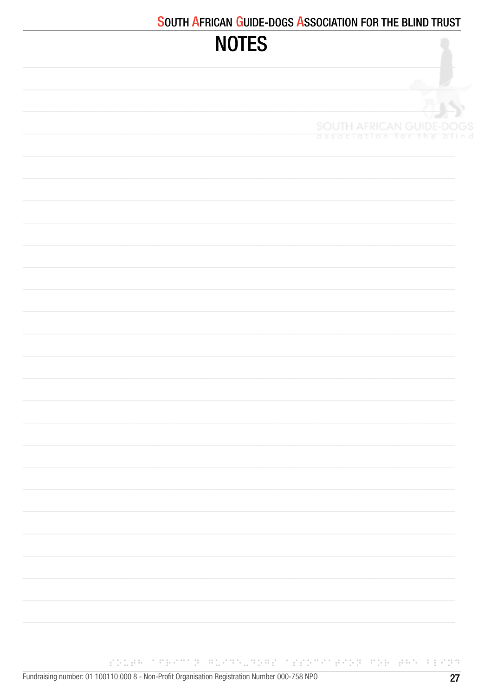| SOUTH AFRICAN GUIDE-DOGS ASSOCIATION FOR THE BLIND TRUST |                      |  |
|----------------------------------------------------------|----------------------|--|
| <b>NOTES</b>                                             |                      |  |
|                                                          |                      |  |
|                                                          |                      |  |
|                                                          |                      |  |
|                                                          | <b>SOUTH AFRICAN</b> |  |
|                                                          |                      |  |
|                                                          |                      |  |
|                                                          |                      |  |
|                                                          |                      |  |
|                                                          |                      |  |
|                                                          |                      |  |
|                                                          |                      |  |
|                                                          |                      |  |
|                                                          |                      |  |
|                                                          |                      |  |
|                                                          |                      |  |
|                                                          |                      |  |
|                                                          |                      |  |
|                                                          |                      |  |
|                                                          |                      |  |
|                                                          |                      |  |
|                                                          |                      |  |
|                                                          |                      |  |
|                                                          |                      |  |
|                                                          |                      |  |
|                                                          |                      |  |
|                                                          |                      |  |
|                                                          |                      |  |
|                                                          |                      |  |
|                                                          |                      |  |
|                                                          |                      |  |
|                                                          |                      |  |